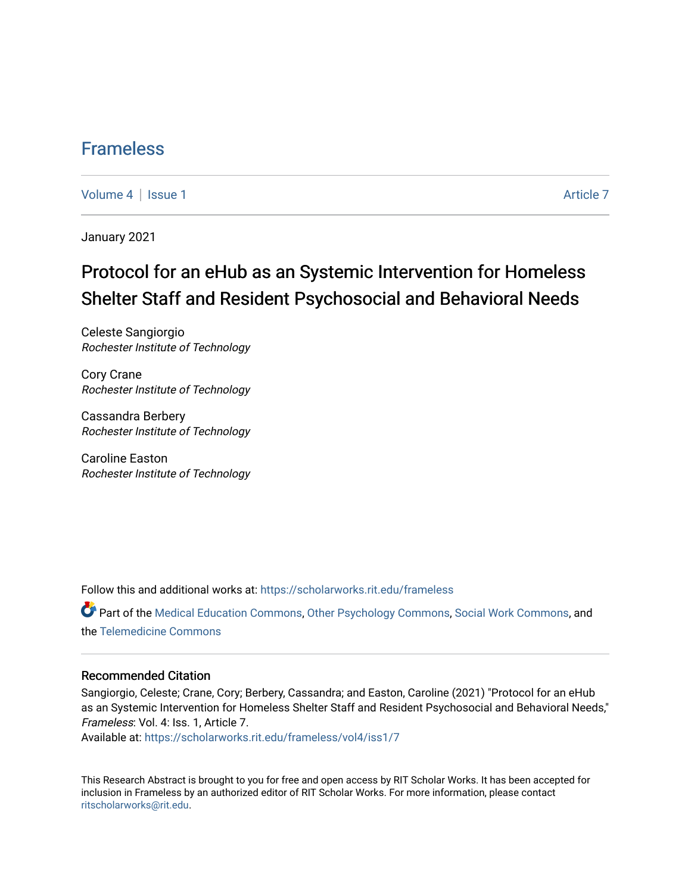## [Frameless](https://scholarworks.rit.edu/frameless)

[Volume 4](https://scholarworks.rit.edu/frameless/vol4) | [Issue 1](https://scholarworks.rit.edu/frameless/vol4/iss1) Article 7

January 2021

## Protocol for an eHub as an Systemic Intervention for Homeless Shelter Staff and Resident Psychosocial and Behavioral Needs

Celeste Sangiorgio Rochester Institute of Technology

Cory Crane Rochester Institute of Technology

Cassandra Berbery Rochester Institute of Technology

Caroline Easton Rochester Institute of Technology

Follow this and additional works at: [https://scholarworks.rit.edu/frameless](https://scholarworks.rit.edu/frameless?utm_source=scholarworks.rit.edu%2Fframeless%2Fvol4%2Fiss1%2F7&utm_medium=PDF&utm_campaign=PDFCoverPages)

Part of the [Medical Education Commons,](https://network.bepress.com/hgg/discipline/1125?utm_source=scholarworks.rit.edu%2Fframeless%2Fvol4%2Fiss1%2F7&utm_medium=PDF&utm_campaign=PDFCoverPages) [Other Psychology Commons,](https://network.bepress.com/hgg/discipline/415?utm_source=scholarworks.rit.edu%2Fframeless%2Fvol4%2Fiss1%2F7&utm_medium=PDF&utm_campaign=PDFCoverPages) [Social Work Commons](https://network.bepress.com/hgg/discipline/713?utm_source=scholarworks.rit.edu%2Fframeless%2Fvol4%2Fiss1%2F7&utm_medium=PDF&utm_campaign=PDFCoverPages), and the [Telemedicine Commons](https://network.bepress.com/hgg/discipline/1367?utm_source=scholarworks.rit.edu%2Fframeless%2Fvol4%2Fiss1%2F7&utm_medium=PDF&utm_campaign=PDFCoverPages)

#### Recommended Citation

Sangiorgio, Celeste; Crane, Cory; Berbery, Cassandra; and Easton, Caroline (2021) "Protocol for an eHub as an Systemic Intervention for Homeless Shelter Staff and Resident Psychosocial and Behavioral Needs," Frameless: Vol. 4: Iss. 1, Article 7.

Available at: [https://scholarworks.rit.edu/frameless/vol4/iss1/7](https://scholarworks.rit.edu/frameless/vol4/iss1/7?utm_source=scholarworks.rit.edu%2Fframeless%2Fvol4%2Fiss1%2F7&utm_medium=PDF&utm_campaign=PDFCoverPages)

This Research Abstract is brought to you for free and open access by RIT Scholar Works. It has been accepted for inclusion in Frameless by an authorized editor of RIT Scholar Works. For more information, please contact [ritscholarworks@rit.edu](mailto:ritscholarworks@rit.edu).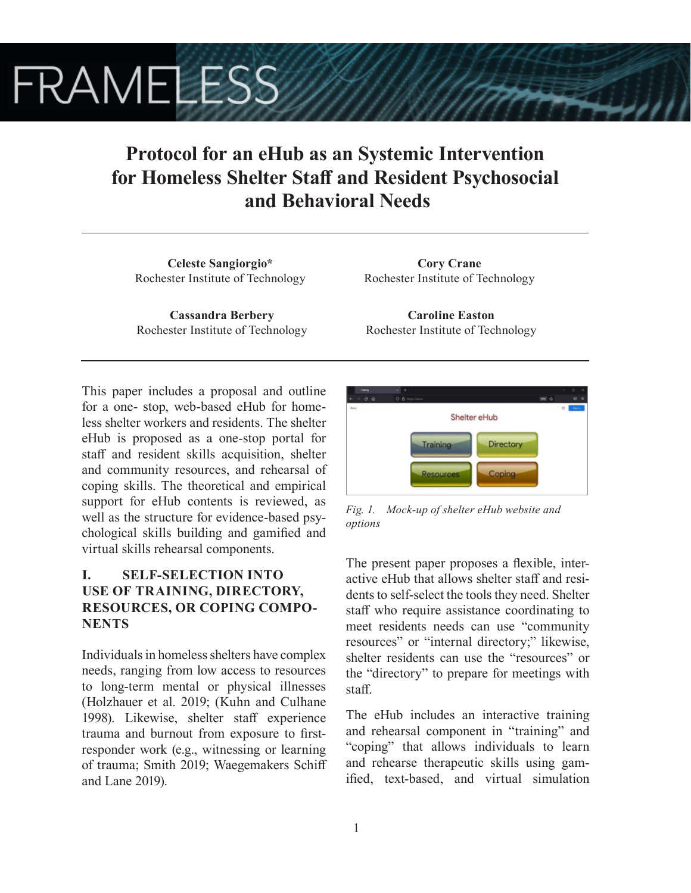# **FRAMELESS**

## **Protocol for an eHub as an Systemic Intervention for Homeless Shelter Staff and Resident Psychosocial and Behavioral Needs**

**Celeste Sangiorgio\*** Rochester Institute of Technology

**Cassandra Berbery** Rochester Institute of Technology

**Cory Crane** Rochester Institute of Technology

**Caroline Easton** Rochester Institute of Technology

This paper includes a proposal and outline for a one- stop, web-based eHub for homeless shelter workers and residents. The shelter eHub is proposed as a one-stop portal for staff and resident skills acquisition, shelter and community resources, and rehearsal of coping skills. The theoretical and empirical support for eHub contents is reviewed, as well as the structure for evidence-based psychological skills building and gamified and virtual skills rehearsal components.

## **I. SELF-SELECTION INTO USE OF TRAINING, DIRECTORY, RESOURCES, OR COPING COMPO-NENTS**

Individuals in homeless shelters have complex needs, ranging from low access to resources to long-term mental or physical illnesses (Holzhauer et al. 2019; (Kuhn and Culhane 1998). Likewise, shelter staff experience trauma and burnout from exposure to firstresponder work (e.g., witnessing or learning of trauma; Smith 2019; Waegemakers Schiff and Lane 2019).



*Fig. 1. Mock-up of shelter eHub website and options*

The present paper proposes a flexible, interactive eHub that allows shelter staff and residents to self-select the tools they need. Shelter staff who require assistance coordinating to meet residents needs can use "community resources" or "internal directory;" likewise, shelter residents can use the "resources" or the "directory" to prepare for meetings with staff.

The eHub includes an interactive training and rehearsal component in "training" and "coping" that allows individuals to learn and rehearse therapeutic skills using gamified, text-based, and virtual simulation